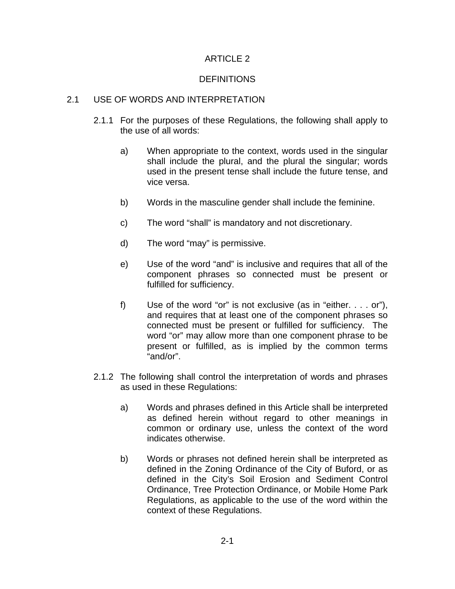## ARTICLE 2

## DEFINITIONS

## 2.1 USE OF WORDS AND INTERPRETATION

- 2.1.1 For the purposes of these Regulations, the following shall apply to the use of all words:
	- a) When appropriate to the context, words used in the singular shall include the plural, and the plural the singular; words used in the present tense shall include the future tense, and vice versa.
	- b) Words in the masculine gender shall include the feminine.
	- c) The word "shall" is mandatory and not discretionary.
	- d) The word "may" is permissive.
	- e) Use of the word "and" is inclusive and requires that all of the component phrases so connected must be present or fulfilled for sufficiency.
	- f) Use of the word "or" is not exclusive (as in "either. . . . or"), and requires that at least one of the component phrases so connected must be present or fulfilled for sufficiency. The word "or" may allow more than one component phrase to be present or fulfilled, as is implied by the common terms "and/or".
- 2.1.2 The following shall control the interpretation of words and phrases as used in these Regulations:
	- a) Words and phrases defined in this Article shall be interpreted as defined herein without regard to other meanings in common or ordinary use, unless the context of the word indicates otherwise.
	- b) Words or phrases not defined herein shall be interpreted as defined in the Zoning Ordinance of the City of Buford, or as defined in the City's Soil Erosion and Sediment Control Ordinance, Tree Protection Ordinance, or Mobile Home Park Regulations, as applicable to the use of the word within the context of these Regulations.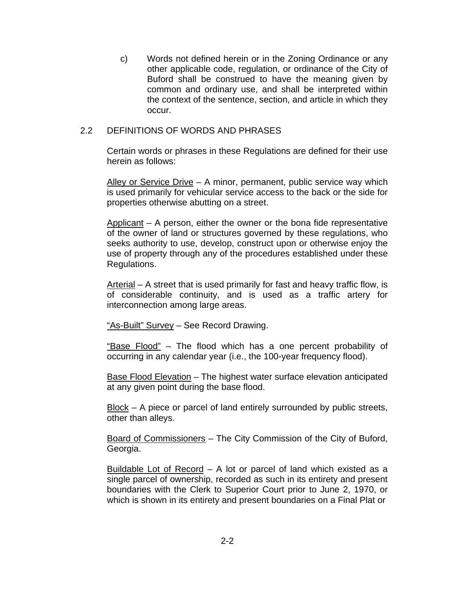c) Words not defined herein or in the Zoning Ordinance or any other applicable code, regulation, or ordinance of the City of Buford shall be construed to have the meaning given by common and ordinary use, and shall be interpreted within the context of the sentence, section, and article in which they occur.

## 2.2 DEFINITIONS OF WORDS AND PHRASES

Certain words or phrases in these Regulations are defined for their use herein as follows:

Alley or Service Drive – A minor, permanent, public service way which is used primarily for vehicular service access to the back or the side for properties otherwise abutting on a street.

Applicant  $-$  A person, either the owner or the bona fide representative of the owner of land or structures governed by these regulations, who seeks authority to use, develop, construct upon or otherwise enjoy the use of property through any of the procedures established under these Regulations.

Arterial – A street that is used primarily for fast and heavy traffic flow, is of considerable continuity, and is used as a traffic artery for interconnection among large areas.

"As-Built" Survey – See Record Drawing.

"Base Flood" – The flood which has a one percent probability of occurring in any calendar year (i.e., the 100-year frequency flood).

Base Flood Elevation – The highest water surface elevation anticipated at any given point during the base flood.

Block – A piece or parcel of land entirely surrounded by public streets, other than alleys.

Board of Commissioners – The City Commission of the City of Buford, Georgia.

Buildable Lot of Record – A lot or parcel of land which existed as a single parcel of ownership, recorded as such in its entirety and present boundaries with the Clerk to Superior Court prior to June 2, 1970, or which is shown in its entirety and present boundaries on a Final Plat or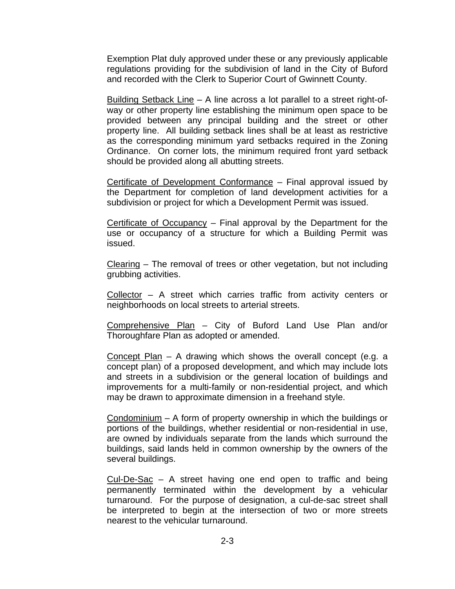Exemption Plat duly approved under these or any previously applicable regulations providing for the subdivision of land in the City of Buford and recorded with the Clerk to Superior Court of Gwinnett County.

Building Setback Line – A line across a lot parallel to a street right-ofway or other property line establishing the minimum open space to be provided between any principal building and the street or other property line. All building setback lines shall be at least as restrictive as the corresponding minimum yard setbacks required in the Zoning Ordinance. On corner lots, the minimum required front yard setback should be provided along all abutting streets.

Certificate of Development Conformance – Final approval issued by the Department for completion of land development activities for a subdivision or project for which a Development Permit was issued.

Certificate of Occupancy  $-$  Final approval by the Department for the use or occupancy of a structure for which a Building Permit was issued.

Clearing – The removal of trees or other vegetation, but not including grubbing activities.

Collector – A street which carries traffic from activity centers or neighborhoods on local streets to arterial streets.

Comprehensive Plan – City of Buford Land Use Plan and/or Thoroughfare Plan as adopted or amended.

Concept Plan – A drawing which shows the overall concept (e.g. a concept plan) of a proposed development, and which may include lots and streets in a subdivision or the general location of buildings and improvements for a multi-family or non-residential project, and which may be drawn to approximate dimension in a freehand style.

Condominium – A form of property ownership in which the buildings or portions of the buildings, whether residential or non-residential in use, are owned by individuals separate from the lands which surround the buildings, said lands held in common ownership by the owners of the several buildings.

 $Cul-De-Sac - A$  street having one end open to traffic and being permanently terminated within the development by a vehicular turnaround. For the purpose of designation, a cul-de-sac street shall be interpreted to begin at the intersection of two or more streets nearest to the vehicular turnaround.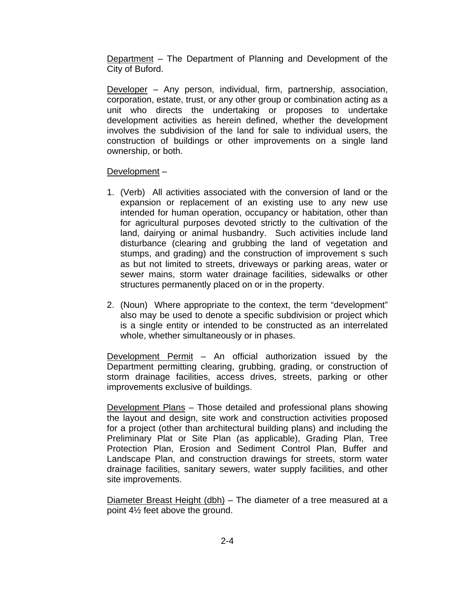Department – The Department of Planning and Development of the City of Buford.

Developer – Any person, individual, firm, partnership, association, corporation, estate, trust, or any other group or combination acting as a unit who directs the undertaking or proposes to undertake development activities as herein defined, whether the development involves the subdivision of the land for sale to individual users, the construction of buildings or other improvements on a single land ownership, or both.

Development –

- 1. (Verb) All activities associated with the conversion of land or the expansion or replacement of an existing use to any new use intended for human operation, occupancy or habitation, other than for agricultural purposes devoted strictly to the cultivation of the land, dairying or animal husbandry. Such activities include land disturbance (clearing and grubbing the land of vegetation and stumps, and grading) and the construction of improvement s such as but not limited to streets, driveways or parking areas, water or sewer mains, storm water drainage facilities, sidewalks or other structures permanently placed on or in the property.
- 2. (Noun) Where appropriate to the context, the term "development" also may be used to denote a specific subdivision or project which is a single entity or intended to be constructed as an interrelated whole, whether simultaneously or in phases.

Development Permit – An official authorization issued by the Department permitting clearing, grubbing, grading, or construction of storm drainage facilities, access drives, streets, parking or other improvements exclusive of buildings.

Development Plans – Those detailed and professional plans showing the layout and design, site work and construction activities proposed for a project (other than architectural building plans) and including the Preliminary Plat or Site Plan (as applicable), Grading Plan, Tree Protection Plan, Erosion and Sediment Control Plan, Buffer and Landscape Plan, and construction drawings for streets, storm water drainage facilities, sanitary sewers, water supply facilities, and other site improvements.

Diameter Breast Height (dbh) – The diameter of a tree measured at a point 4½ feet above the ground.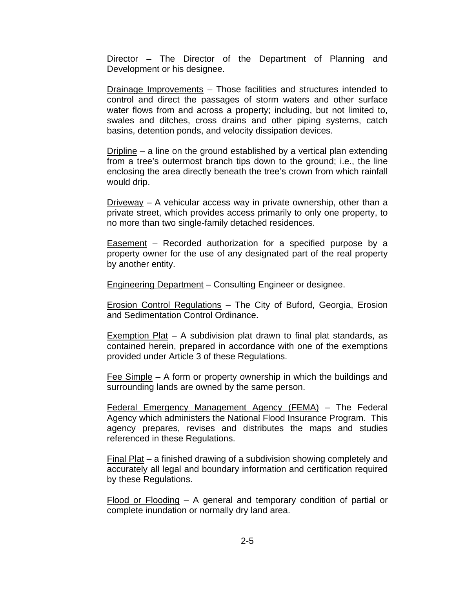Director – The Director of the Department of Planning and Development or his designee.

Drainage Improvements – Those facilities and structures intended to control and direct the passages of storm waters and other surface water flows from and across a property; including, but not limited to, swales and ditches, cross drains and other piping systems, catch basins, detention ponds, and velocity dissipation devices.

Dripline – a line on the ground established by a vertical plan extending from a tree's outermost branch tips down to the ground; i.e., the line enclosing the area directly beneath the tree's crown from which rainfall would drip.

Driveway – A vehicular access way in private ownership, other than a private street, which provides access primarily to only one property, to no more than two single-family detached residences.

Easement – Recorded authorization for a specified purpose by a property owner for the use of any designated part of the real property by another entity.

Engineering Department – Consulting Engineer or designee.

Erosion Control Regulations – The City of Buford, Georgia, Erosion and Sedimentation Control Ordinance.

Exemption Plat – A subdivision plat drawn to final plat standards, as contained herein, prepared in accordance with one of the exemptions provided under Article 3 of these Regulations.

Fee Simple – A form or property ownership in which the buildings and surrounding lands are owned by the same person.

Federal Emergency Management Agency (FEMA) – The Federal Agency which administers the National Flood Insurance Program. This agency prepares, revises and distributes the maps and studies referenced in these Regulations.

Final Plat – a finished drawing of a subdivision showing completely and accurately all legal and boundary information and certification required by these Regulations.

Flood or Flooding – A general and temporary condition of partial or complete inundation or normally dry land area.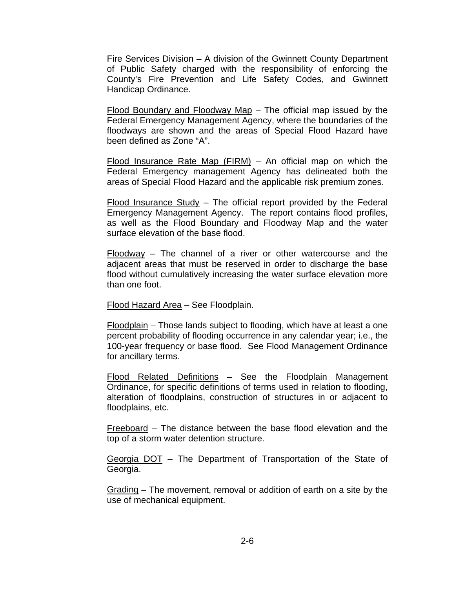Fire Services Division – A division of the Gwinnett County Department of Public Safety charged with the responsibility of enforcing the County's Fire Prevention and Life Safety Codes, and Gwinnett Handicap Ordinance.

Flood Boundary and Floodway Map – The official map issued by the Federal Emergency Management Agency, where the boundaries of the floodways are shown and the areas of Special Flood Hazard have been defined as Zone "A".

Flood Insurance Rate Map  $(FIRM)$  – An official map on which the Federal Emergency management Agency has delineated both the areas of Special Flood Hazard and the applicable risk premium zones.

Flood Insurance Study – The official report provided by the Federal Emergency Management Agency. The report contains flood profiles, as well as the Flood Boundary and Floodway Map and the water surface elevation of the base flood.

Floodway – The channel of a river or other watercourse and the adjacent areas that must be reserved in order to discharge the base flood without cumulatively increasing the water surface elevation more than one foot.

Flood Hazard Area – See Floodplain.

Floodplain – Those lands subject to flooding, which have at least a one percent probability of flooding occurrence in any calendar year; i.e., the 100-year frequency or base flood. See Flood Management Ordinance for ancillary terms.

Flood Related Definitions – See the Floodplain Management Ordinance, for specific definitions of terms used in relation to flooding, alteration of floodplains, construction of structures in or adjacent to floodplains, etc.

Freeboard – The distance between the base flood elevation and the top of a storm water detention structure.

Georgia DOT – The Department of Transportation of the State of Georgia.

Grading – The movement, removal or addition of earth on a site by the use of mechanical equipment.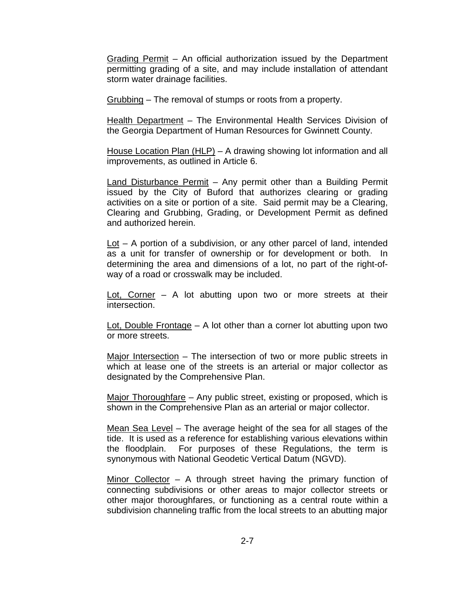Grading Permit – An official authorization issued by the Department permitting grading of a site, and may include installation of attendant storm water drainage facilities.

Grubbing – The removal of stumps or roots from a property.

Health Department – The Environmental Health Services Division of the Georgia Department of Human Resources for Gwinnett County.

House Location Plan (HLP) – A drawing showing lot information and all improvements, as outlined in Article 6.

Land Disturbance Permit – Any permit other than a Building Permit issued by the City of Buford that authorizes clearing or grading activities on a site or portion of a site. Said permit may be a Clearing, Clearing and Grubbing, Grading, or Development Permit as defined and authorized herein.

 $Lot – A portion of a subdivision, or any other parcel of land, intended$ </u> as a unit for transfer of ownership or for development or both. In determining the area and dimensions of a lot, no part of the right-ofway of a road or crosswalk may be included.

Lot, Corner – A lot abutting upon two or more streets at their intersection.

Lot, Double Frontage – A lot other than a corner lot abutting upon two or more streets.

Major Intersection – The intersection of two or more public streets in which at lease one of the streets is an arterial or major collector as designated by the Comprehensive Plan.

Major Thoroughfare – Any public street, existing or proposed, which is shown in the Comprehensive Plan as an arterial or major collector.

Mean Sea Level – The average height of the sea for all stages of the tide. It is used as a reference for establishing various elevations within the floodplain. For purposes of these Regulations, the term is synonymous with National Geodetic Vertical Datum (NGVD).

Minor Collector – A through street having the primary function of connecting subdivisions or other areas to major collector streets or other major thoroughfares, or functioning as a central route within a subdivision channeling traffic from the local streets to an abutting major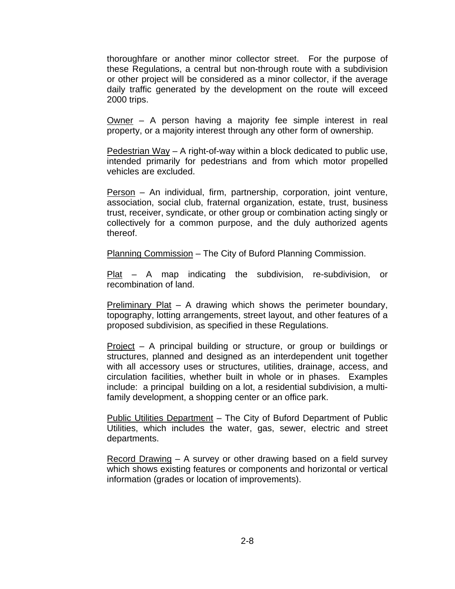thoroughfare or another minor collector street. For the purpose of these Regulations, a central but non-through route with a subdivision or other project will be considered as a minor collector, if the average daily traffic generated by the development on the route will exceed 2000 trips.

Owner – A person having a majority fee simple interest in real property, or a majority interest through any other form of ownership.

Pedestrian Way – A right-of-way within a block dedicated to public use, intended primarily for pedestrians and from which motor propelled vehicles are excluded.

Person – An individual, firm, partnership, corporation, joint venture, association, social club, fraternal organization, estate, trust, business trust, receiver, syndicate, or other group or combination acting singly or collectively for a common purpose, and the duly authorized agents thereof.

Planning Commission – The City of Buford Planning Commission.

Plat – A map indicating the subdivision, re-subdivision, or recombination of land.

Preliminary Plat – A drawing which shows the perimeter boundary, topography, lotting arrangements, street layout, and other features of a proposed subdivision, as specified in these Regulations.

Project – A principal building or structure, or group or buildings or structures, planned and designed as an interdependent unit together with all accessory uses or structures, utilities, drainage, access, and circulation facilities, whether built in whole or in phases. Examples include: a principal building on a lot, a residential subdivision, a multifamily development, a shopping center or an office park.

Public Utilities Department – The City of Buford Department of Public Utilities, which includes the water, gas, sewer, electric and street departments.

Record Drawing – A survey or other drawing based on a field survey which shows existing features or components and horizontal or vertical information (grades or location of improvements).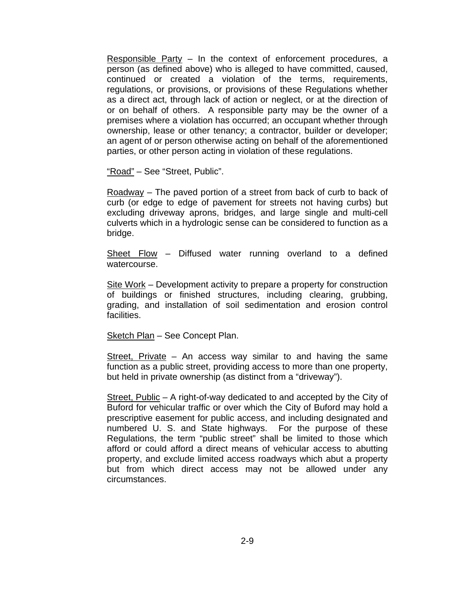Responsible Party – In the context of enforcement procedures, a person (as defined above) who is alleged to have committed, caused, continued or created a violation of the terms, requirements, regulations, or provisions, or provisions of these Regulations whether as a direct act, through lack of action or neglect, or at the direction of or on behalf of others. A responsible party may be the owner of a premises where a violation has occurred; an occupant whether through ownership, lease or other tenancy; a contractor, builder or developer; an agent of or person otherwise acting on behalf of the aforementioned parties, or other person acting in violation of these regulations.

"Road" – See "Street, Public".

 $Roadway$  – The paved portion of a street from back of curb to back of curb (or edge to edge of pavement for streets not having curbs) but excluding driveway aprons, bridges, and large single and multi-cell culverts which in a hydrologic sense can be considered to function as a bridge.

Sheet Flow – Diffused water running overland to a defined watercourse.

Site Work – Development activity to prepare a property for construction of buildings or finished structures, including clearing, grubbing, grading, and installation of soil sedimentation and erosion control facilities.

Sketch Plan – See Concept Plan.

Street, Private – An access way similar to and having the same function as a public street, providing access to more than one property, but held in private ownership (as distinct from a "driveway").

Street, Public – A right-of-way dedicated to and accepted by the City of Buford for vehicular traffic or over which the City of Buford may hold a prescriptive easement for public access, and including designated and numbered U. S. and State highways. For the purpose of these Regulations, the term "public street" shall be limited to those which afford or could afford a direct means of vehicular access to abutting property, and exclude limited access roadways which abut a property but from which direct access may not be allowed under any circumstances.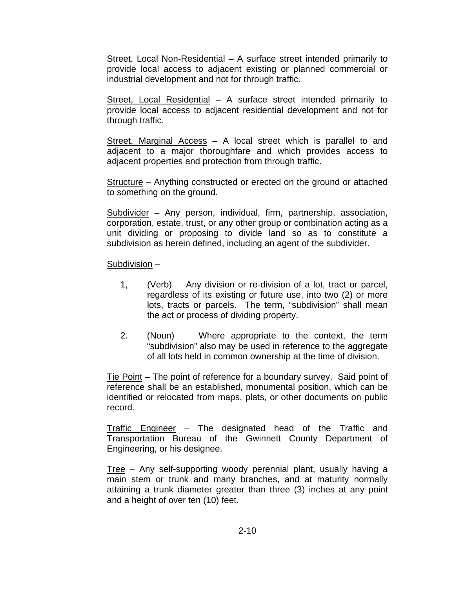Street, Local Non-Residential – A surface street intended primarily to provide local access to adjacent existing or planned commercial or industrial development and not for through traffic.

Street, Local Residential – A surface street intended primarily to provide local access to adjacent residential development and not for through traffic.

Street, Marginal Access – A local street which is parallel to and adjacent to a major thoroughfare and which provides access to adjacent properties and protection from through traffic.

Structure – Anything constructed or erected on the ground or attached to something on the ground.

Subdivider – Any person, individual, firm, partnership, association, corporation, estate, trust, or any other group or combination acting as a unit dividing or proposing to divide land so as to constitute a subdivision as herein defined, including an agent of the subdivider.

Subdivision –

- 1, (Verb) Any division or re-division of a lot, tract or parcel, regardless of its existing or future use, into two (2) or more lots, tracts or parcels. The term, "subdivision" shall mean the act or process of dividing property.
- 2. (Noun) Where appropriate to the context, the term "subdivision" also may be used in reference to the aggregate of all lots held in common ownership at the time of division.

Tie Point – The point of reference for a boundary survey. Said point of reference shall be an established, monumental position, which can be identified or relocated from maps, plats, or other documents on public record.

Traffic Engineer – The designated head of the Traffic and Transportation Bureau of the Gwinnett County Department of Engineering, or his designee.

Tree – Any self-supporting woody perennial plant, usually having a main stem or trunk and many branches, and at maturity normally attaining a trunk diameter greater than three (3) inches at any point and a height of over ten (10) feet.